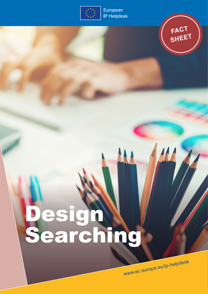

European **IP Helpdesk** 



# Design Searching

www.ec.europa.eu/ip-helpdesk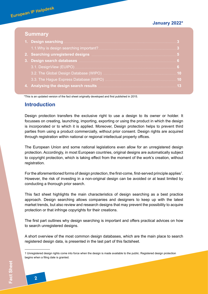## **January 2022\***

## **Summary**

**European IP Helpdesk**

| 2. Searching unregistered designs <b>Manual According to Searching unregistered</b> designs <b>Manual Manual According to Searching</b> |  |
|-----------------------------------------------------------------------------------------------------------------------------------------|--|
|                                                                                                                                         |  |
|                                                                                                                                         |  |
|                                                                                                                                         |  |
|                                                                                                                                         |  |
|                                                                                                                                         |  |

\*This is an updated version of the fact sheet originally developed and first published in 2015.

## **Introduction**

Design protection transfers the exclusive right to use a design to its owner or holder. It focusses on creating, launching, importing, exporting or using the product in which the design is incorporated or to which it is applied. Moreover, Design protection helps to prevent third parties from using a product commercially, without prior consent. Design rights are acquired through registration within national or regional intellectual property offices.

The European Union and some national legislations even allow for an unregistered design protection. Accordingly, in most European countries, original designs are automatically subject to copyright protection, which is taking effect from the moment of the work's creation, without registration.

For the aforementioned forms of design protection, the first-come, first-served principle applies<sup>1</sup>. However, the risk of investing in a non-original design can be avoided or at least limited by conducting a thorough prior search.

This fact sheet highlights the main characteristics of design searching as a best practice approach. Design searching allows companies and designers to keep up with the latest market trends, but also review and research designs that may prevent the possibility to acquire protection or that infringe copyrights for their creations.

The first part outlines why design searching is important and offers practical advices on how to search unregistered designs.

A short overview of the most common design databases, which are the main place to search registered design data, is presented in the last part of this factsheet.

<sup>1</sup> Unregistered design rights come into force when the design is made available to the public. Registered design protection begins when a filing date is granted.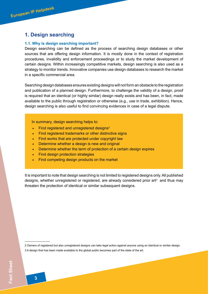<span id="page-2-0"></span>**European IP Helpdesk**

#### **1.1. Why is design searching important?**

Design searching can be defined as the process of searching design databases or other sources that are offering design information. It is mostly done in the context of registration procedures, invalidity and enforcement proceedings or to study the market development of certain designs. Within increasingly competitive markets, design searching is also used as a strategy to monitor trends. Innovative companies use design databases to research the market in a specific commercial area.

Searching design databases ensures existing designs will not form an obstacle to the registration and publication of a planned design. Furthermore, to challenge the validity of a design, proof is required that an identical (or highly similar) design really exists and has been, in fact, made available to the public through registration or otherwise (e.g., use in trade, exhibition). Hence, design searching is also useful to find convincing evidences in case of a legal dispute.

In summary, design searching helps to:

- $\bullet$  Find registered and unregistered designs<sup>2</sup>
- Find registered trademarks or other distinctive signs
- Find works that are protected under copyright law
- Determine whether a design is new and original
- Determine whether the term of protection of a certain design expires
- Find design protection strategies
- Find competing design products on the market

It is important to note that design searching is not limited to registered designs only. All published designs, whether unregistered or registered, are already considered prior art<sup>3</sup> and thus may threaten the protection of identical or similar subsequent designs.

2 Owners of registered but also unregistered designs can take legal action against anyone using an identical or similar design. 3 A design that has been made available to the global public becomes part of the state of the art.

**3**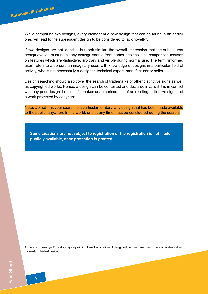While comparing two designs, every element of a new design that can be found in an earlier one, will lead to the subsequent design to be considered to lack novelty $^{\scriptscriptstyle 4}$ .

If two designs are not identical but look similar, the overall impression that the subsequent design evokes must be clearly distinguishable from earlier designs. The comparison focuses on features which are distinctive, arbitrary and visible during normal use. The term "informed user" refers to a person, an imaginary user, with knowledge of designs in a particular field of activity, who is not necessarily a designer, technical expert, manufacturer or seller.

Design searching should also cover the search of trademarks or other distinctive signs as well as copyrighted works. Hence, a design can be contested and declared invalid if it is in conflict with any prior design, but also if it makes unauthorised use of an existing distinctive sign or of a work protected by copyright.

Note: Do not limit your search to a particular territory: any design that has been made available to the public, anywhere in the world, and at any time must be considered during the search.

 **Some creations are not subject to registration or the registration is not made publicly available, once protection is granted.**

4 The exact meaning of 'novelty' may vary within different jurisdictions. A design will be considered new if there is no identical and already published design.

**4**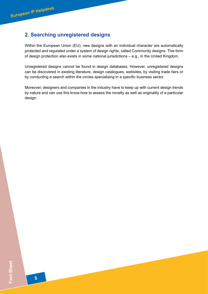# <span id="page-4-0"></span>**2. Searching unregistered designs**

Within the European Union (EU), new designs with an individual character are automatically protected and regulated under a system of design rights, called Community designs. This form of design protection also exists in some national jurisdictions – e.g., in the United Kingdom.

Unregistered designs cannot be found in design databases. However, unregistered designs can be discovered in existing literature, design catalogues, websites, by visiting trade fairs or by conducting a search within the circles specialising in a specific business sector.

Moreover, designers and companies in the industry have to keep up with current design trends by nature and can use this know-how to assess the novelty as well as originality of a particular design.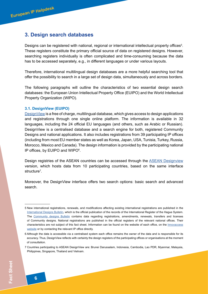## <span id="page-5-0"></span>**3. Design search databases**

Designs can be registered with national, regional or international intellectual property offices<sup>5</sup>. These registers constitute the primary official source of data on registered designs. However, searching registers individually is often complicated and time-consuming because the data has to be accessed separately, e.g., in different languages or under various layouts.

Therefore, international multilingual design databases are a more helpful searching tool that offer the possibility to search in a large set of design data, simultaneously and across borders.

The following paragraphs will outline the characteristics of two essential design search databases: the European Union Intellectual Property Office (EUIPO) and the World Intellectual Property Organization (WIPO).

#### **3.1. DesignView (EUIPO)**

[DesignView](https://www.tmdn.org/tmdsview-web/welcome#/dsview) is a free of charge, multilingual database, which gives access to design applications and registrations through one single online platform. The information is available in 32 languages, including the 24 official EU languages (and others, such as Arabic or Russian). DesignView is a centralised database and a search engine for both, registered Community Designs and national applications. It also includes registrations from 39 participating IP offices (including from most EU member states as well as Korea, Japan, USA, Tunisia, Turkey, Russia, Morocco, Mexico and Canada). The design information is provided by the participating national IP offices, by EUIPO and WIPO<sup>6</sup>.

Design registries of the ASEAN countries can be accessed through the [ASEAN Designview](http://www.asean-designview.org/tmdsview-web/welcome) version, which hosts data from 10 participating countries, based on the same interface structure<sup>7</sup>.

Moreover, the DesignView interface offers two search options: basic search and advanced search.

<sup>5</sup> New international registrations, renewals, and modifications affecting existing international registrations are published in the [International Designs Bulletin](http://www.wipo.int/haguebulletin/?locale=en), which is the official publication of the records of the International Register of the Hague System. The [Community designs Bulletin](https://euipo.europa.eu/eSearch/#advanced/bulletins) contains data regarding registrations, amendments, renewals, transfers and licenses of Community designs. National registrations are published in the official registers of the relevant national offices. Their characteristics are not subject of this fact sheet. Information can be found on the website of each office, on the *[Innovaccess](http://www.innovaccess.eu/)* [website](http://www.innovaccess.eu/) or by contacting the relevant IP office directly.

<sup>6</sup> Although the data is accessible via a centralised system each office remains the owner of the data and is responsible for its accuracy. Thus, DesignView reflects with certainty the design registers of the participating offices or organisations at the moment of consultation.

<sup>7</sup> Countries participating to ASEAN DesignView are: Brunei Darussalam, Indonesia, Cambodia, Lao PDR, Myanmar, Malaysia, Philippines, Singapore, Thailand and Vietnam.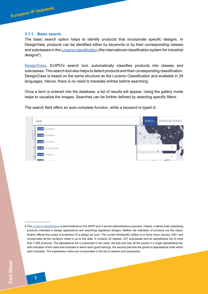**European IP Helpdesk**

The basic search option helps to identify products that incorporate specific designs. In DesignView, products can be identified either by keywords or by their corresponding classes and subclasses in the **Locarno classification** (the international classification system for industrial designs<sup>8</sup>).

[DesignClass](https://euipo.europa.eu/designclass/), EUIPO's search tool, automatically classifies products into classes and subclasses. This search tool also helps to detect products and their corresponding classification. DesignClass is based on the same structure as the Locarno Classification and available in 29 languages. Hence, there is no need to translate entries before searching.

Once a term is entered into the database, a list of results will appear. Using the gallery mode helps to visualise the images. Searches can be further defined by selecting specific filters.

The search field offers an auto-complete function, while a keyword is typed in.



**7**

<sup>8</sup> The [Locarno classification](http://www.wipo.int/classifications/locarno/en/preface.html) is administered by the WIPO and it serves administrative purposes. Indeed, it allows both classifying products indicated in design applications and searching registered designs. Neither the indication of products nor the classification affects the scope of protection of a design as such. The current (thirteenth) edition is in force since January 2021 and incorporates all the revisions made in up to this date. It contains 32 classes, 237 subclasses and an alphabetical list of more than 7,000 products. The alphabetical list is presented in two parts: the first part lists all the goods in a single alphabetical list, with indication of the class and subclass to which each good belongs; the second part lists the goods in alphabetical order within each subclass. The explanatory notes are incorporated in the list of classes and subclasses.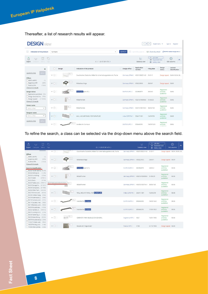

Thereafter, a list of research results will appear.

| <b>DESIGN</b> view                                                                                         |                        |                                                                   |                          | <b>AA</b><br>-                         | $+$<br>English (en) v                                       |                                      | Sign in Register               |
|------------------------------------------------------------------------------------------------------------|------------------------|-------------------------------------------------------------------|--------------------------|----------------------------------------|-------------------------------------------------------------|--------------------------------------|--------------------------------|
| 12<br>Indication of the product:                                                                           | Furniture              | $\times$                                                          | <b>SEARCH</b>            | Save this search [Sa] Share by email   |                                                             |                                      | WIPO Global Designs DB         |
| $\mathcal{L}$<br>$\sqrt{2}$<br>ŕĥ<br>$\frac{O_1 O}{\Delta}$<br>Export<br><b>Albres</b><br>THIRS<br>compare |                        | ≪ < 1-20 Of 201.473 >                                             |                          | z<br>Statistics view                   | $E$ List view<br>I Expanded view<br><b>Rid</b> Gallery view |                                      | A<br>Edit columns              |
| ٠                                                                                                          | п<br>Design            | Indication of the product                                         | Design office            | Application<br>number                  | <b>Filing date</b>                                          | Design<br>status                     | Locarno<br>classification      |
| <b>CLEAR FILTERS</b><br>APPLY<br>Offices                                                                   | $Q_1$<br>$\vee$        | Couchtische; Esstische; Möbel für Unterhaltungselektronik; Tische |                          | Germany-DPMA 2 402010002514.8          | 01/01/1                                                     |                                      | Design lapsed 06.04, 06.04, 06 |
| ARIPO-ARIPO<br>(1)<br>Argentina-INPI<br>(599)<br>Austria-OPA<br>(1553)                                     | $\times \Box$          | Möbelbeschläge                                                    | Germany-DPMA2 40502290.5 |                                        | 28/04/1                                                     | Design lapsed 08.09                  |                                |
| Show all 53 results<br>Design status<br>Application published (55)                                         | $\vee$                 | Furniture (part of -)                                             | EUIPO-EUIPOET            | 002966879                              | 28/04/2                                                     | Registered<br>and fully<br>published | 06.06                          |
| Design declared inv (796)<br>Design lapsed<br>(115729)<br>Show all 13 results                              | $Q_1$<br>$\times \Box$ | Möbelfronten                                                      |                          | Germany-DPMA 2 402016100696.8 01/06/23 |                                                             | Registered<br>and fully<br>published | 06.06                          |
| Owner name<br>$\checkmark$<br>Select a filter                                                              | $\bigcirc$<br>$\vee$   | Möbelfronten                                                      |                          | Germany-DPMA2 402016100734.4 08/06/160 |                                                             | Registered<br>and fully<br>published | 06.06                          |
| Designer name<br>$\checkmark$<br>Select a filter                                                           | $Q_1$<br>$\vee$        | WALL MOUNT PANEL FOR FURNITURE                                    | India-CGPDTM 336417-001  |                                        | 16/09/378                                                   | Registered<br>and fully<br>published | 08.08                          |
| APPLY<br><b>CLEAR FILTERS</b>                                                                              | $\vee$                 | Handles for furniture                                             | EUIPO-EUIPO <sub>2</sub> | 005646593                              | 18/09/1620                                                  | Registered<br>and fully<br>published | 08.06                          |

To refine the search, a class can be selected via the drop-down menu above the search field.

| îħ<br>$\frac{0.0}{N}$<br>Compare<br>Export                                                                         | ៊<br>Alerts                 | ্ত<br>Tags                         |       | ≪ < 1-20 Of 201.473 >                                             |                           | سما<br><b>Statistics view</b>          | List view<br>⋿<br>Expanded view<br>器 Gallery view |                                      | ₩<br>∧<br>Edit columns         |
|--------------------------------------------------------------------------------------------------------------------|-----------------------------|------------------------------------|-------|-------------------------------------------------------------------|---------------------------|----------------------------------------|---------------------------------------------------|--------------------------------------|--------------------------------|
| Offices                                                                                                            |                             | VD                                 |       | Couchtische; Esstische; Möbel für Unterhaltungselektronik; Tische |                           | Germany-DPMAE 402010002514.8 01/01/1   |                                                   |                                      | Design lapsed 06.04, 06.04, 06 |
| ARIPO-ARIPO<br>Argentina-INPI<br>Austria-OPA<br>Show all 53 results                                                | (1)<br>(599)<br>(1553)      | $\times \Box$                      |       | Möbelbeschläge                                                    | Germany-DPMAI2 40502290.5 |                                        | 28/04/1                                           | Design lapsed 08.09                  |                                |
| Locarno classification<br>05.05 Textile fabrics (4218)                                                             |                             | $\vee$                             |       | Furniture (part of -)                                             | EUIPO-EUIPO               | 002966879                              | 28/04/2                                           | Registered<br>and fully<br>published | 06.06                          |
| 05.06 Artificial or  (1270)<br>06.00 Furnishing<br>06.01 Seats<br>06.02 Beds                                       | (2354)<br>(37801)<br>(5104) | $\times \Box$                      | $Q_1$ | Möbelfronten                                                      |                           | Germany-DPMAE 402016100696.8 01/06/23  |                                                   | Registered<br>and fully<br>published | 06.06                          |
| 06.03 Tables and (19811)<br>06.04 Storage fu., (41567)<br>06.05 Composite (21360)                                  |                             | 06.03 Tables and similar furniture | $Q_1$ | Möbelfronten                                                      |                           | Germany-DPMAE 402016100734.4 08/06/160 |                                                   | Registered<br>and fully<br>published | 06.06                          |
| 06.06 Other furn (42234)<br>06.07 Mirrors and (4333)<br>06.08 Clothes hang (594)                                   |                             | $\times$                           |       | WALL MOUNT PANEL FOR FURNITURE                                    | India-CGPDTM 2 336417-001 |                                        | 16/09/378                                         | Registered<br>and fully<br>published | 08.08                          |
| 06.09 Mattresses a (486)<br>06.10 Curtains and  (161)<br>06.11 Carpets, mat (385)<br>06.13 Blankets and  (563)     |                             | $\times \Box$                      |       | Handles for furniture                                             | EUIPO-EUIPO               | 005646593                              | 18/09/1620                                        | Registered<br>and fully<br>published | 08.06                          |
| 06.99 Miscellaneo (1818)<br>08.06 Handles, k., (19815)<br>08.07 Locking or cl (274)                                |                             | $\times \Box$                      |       | Handles for furniture                                             | EUIPO-EUIPOE              | 005646593                              | 17/09/1820                                        | Registered<br>and fully<br>published | 08.06                          |
| 08.08 Fastening, s (1226)<br>08.09 Metal fitting (3292)<br>08.99 Miscellaneous (344)<br>11.02 Trinkets, tabl (962) |                             | V <sub>D</sub>                     | $Q_1$ | GABINETE PARA MUEBLES EN GENERAL                                  | Argentina-INPID 4521      |                                        | 15/01/1900                                        | Registered<br>and fully<br>published | 06.06                          |
| 18.00 Printing and  (146)<br>19.08 Other printe (206)                                                              |                             | $\times \Box$                      |       | Meuble dit "siège-bidet"                                          | France-INPLC              | 4100                                   | 21/10/1903                                        | Design lapsed 06.00                  |                                |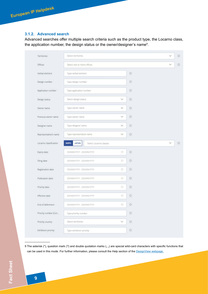## **3.1.2. Advanced search**

Advanced searches offer multiple search criteria such as the product type, the Locarno class, the application number, the design status or the owner/designer's name $^{\rm 9}$ .

| Territories            | Select territories                                    |                                                                    |              |  |
|------------------------|-------------------------------------------------------|--------------------------------------------------------------------|--------------|--|
| Offices                | Select one or more offices                            |                                                                    | $\checkmark$ |  |
| Verbal element         | Type verbal element                                   | $\odot$                                                            |              |  |
| Design number          | Type design number                                    | 0                                                                  |              |  |
| Application number     | Type application number                               | $\odot$                                                            |              |  |
| Design status          | Select design status                                  | $\checkmark$<br>$^\circledR$                                       |              |  |
| Owner name             | Type owner name                                       | $\checkmark$<br>$\odot$                                            |              |  |
| Previous owner name    | Type owner name                                       | $\odot$<br>$\checkmark$                                            |              |  |
| Designer name          | Type designer name                                    | $\checkmark$<br>0                                                  |              |  |
| Representative's name  | Type representative name                              | $\checkmark$<br>$\odot$                                            |              |  |
| Locarno classification | <b>WIPO</b><br><b>JAPAN</b><br>Select Locarno classes |                                                                    |              |  |
| Expiry date            | DD/MM/YYYY - DD/MM/YYYY                               | B<br>$^\circledR$                                                  |              |  |
| Filing date            | DD/MM/YYYY - DD/MM/YYYY                               | ₿<br>$^\circledR$                                                  |              |  |
| Registration date      | DD/MM/YYYY - DD/MM/YYYY                               | G<br>$\odot$                                                       |              |  |
| Publication date       | DD/MM/YYYY - DD/MM/YYYY                               | €<br>$\odot$                                                       |              |  |
| Priority date          | DD/MM/YYYY - DD/MM/YYYY                               | 俋<br>$^\circledR$                                                  |              |  |
| Effective date         | DD/MM/YYYY - DD/MM/YYYY                               | $\left(\begin{smallmatrix} 1\\ 0\\ 1\end{smallmatrix}\right)$<br>0 |              |  |
| End of deferment       | DD/MM/YYYY - DD/MM/YYYY                               | Đ<br>$\odot$                                                       |              |  |
| Priority number (Con   | Type priority number                                  | $\odot$                                                            |              |  |
|                        |                                                       |                                                                    |              |  |
| Priority country       | Select territories                                    | $\odot$                                                            |              |  |

9 The asterisk (\*), question mark (?) and double quotation marks (" ") are special wild-card characters with specific functions that can be used in this mode. For further information, please consult the Help section of the **[DesignView webpage](https://www.tmdn.org/tmdsview-web/welcome#/dsview/help)**.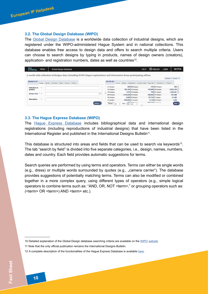#### <span id="page-9-0"></span>**3.2. The Global Design Database (WIPO)**

The [Global Design Database](http://www.wipo.int/designdb/en/) is a worldwide data collection of industrial designs, which are registered under the WIPO-administered Hague System and in national collections. This database enables free access to design data and offers to search multiple criteria. Users can choose to search designs by typing in products, names of design owners (creators), application- and registration numbers, dates as well as countries<sup>10</sup>.

| <b>WIPO</b><br><b>IP PORTAL</b>                                                                                                                                | <b>MENU</b> |       |                                                                                                                                     | Global Design Database |                                                                                                                         |                                    |              |       |                                             | <b>HELP</b> |                                                                                                                                                                                                                                                       | <b>ENGLISH</b> | <b>LOGIN</b> | <b>WIPO</b> |
|----------------------------------------------------------------------------------------------------------------------------------------------------------------|-------------|-------|-------------------------------------------------------------------------------------------------------------------------------------|------------------------|-------------------------------------------------------------------------------------------------------------------------|------------------------------------|--------------|-------|---------------------------------------------|-------------|-------------------------------------------------------------------------------------------------------------------------------------------------------------------------------------------------------------------------------------------------------|----------------|--------------|-------------|
|                                                                                                                                                                |             |       |                                                                                                                                     |                        | A world-wide collection of designs data; including WIPO Hague registrations and information from participating offices. |                                    |              |       |                                             |             |                                                                                                                                                                                                                                                       |                |              |             |
|                                                                                                                                                                |             |       |                                                                                                                                     |                        |                                                                                                                         |                                    |              |       |                                             |             | searches $\blacktriangledown$ records $\blacktriangledown$<br>Holder *<br>203<br>191 BW Designs<br>6,253,162<br>130,996 CN Designs<br>1,236,341<br>758 DE Designs<br>787,386<br>469,963 FR Designs<br>51,963<br>67,744 IT Designs<br>2,193 KE Designs |                |              |             |
| <b>SEARCH BY</b>                                                                                                                                               | Design      | Names | Numbers                                                                                                                             |                        |                                                                                                                         | <b>FILTER BY</b>                   | Source       |       |                                             |             |                                                                                                                                                                                                                                                       |                |              |             |
| Indication of                                                                                                                                                  | $\equiv$    |       |                                                                                                                                     |                        |                                                                                                                         |                                    |              |       |                                             |             |                                                                                                                                                                                                                                                       |                |              |             |
| product                                                                                                                                                        |             |       |                                                                                                                                     |                        |                                                                                                                         |                                    |              |       |                                             |             |                                                                                                                                                                                                                                                       |                |              |             |
| 300 BN Designs<br>AL Designs<br><b>182,124</b> CH Designs<br><b>CA Designs</b><br><b>CR Designs</b><br>1,973 CU Designs<br>Design class $* =$<br>$\rightarrow$ |             |       |                                                                                                                                     |                        |                                                                                                                         |                                    |              |       |                                             |             |                                                                                                                                                                                                                                                       |                |              |             |
|                                                                                                                                                                |             |       | Country Priority<br>Dates<br>Status Designation Locarno class Reg. Year * Expiration *<br><b>EM Designs</b><br>1,449,545 ES Designs |                        |                                                                                                                         |                                    |              |       |                                             |             |                                                                                                                                                                                                                                                       |                |              |             |
|                                                                                                                                                                |             |       |                                                                                                                                     |                        |                                                                                                                         | <b>GE Designs</b>                  |              |       | 2.605 IN Designs                            |             |                                                                                                                                                                                                                                                       |                |              |             |
| <b>Description</b>                                                                                                                                             | $\equiv$    |       |                                                                                                                                     |                        |                                                                                                                         | JP Designs                         |              |       | 598,850 JO Designs                          |             |                                                                                                                                                                                                                                                       |                |              | 1,225       |
|                                                                                                                                                                |             |       |                                                                                                                                     |                        | search A                                                                                                                | <b>VU Doolane</b><br>Display: List | $\checkmark$ | Sort: | <b>004 UD Dealers</b><br>Value - asc $\vee$ | $\sqrt{2}$  | 000 745 LA Dealang                                                                                                                                                                                                                                    |                |              | filter T    |

#### **3.3. The Hague Express Database (WIPO)**

The **[Hague Express Database](https://www3.wipo.int/designdb/hague/en/)** includes bibliographical data and international design registrations (including reproductions of industrial designs) that have been listed in the International Register and published in the International Designs Bulletin<sup>11</sup>.

This database is structured into areas and fields that can be used to search via keywords<sup>12</sup>. The tab "search by field" is divided into five separate categories, i.e., design, names, numbers, dates and country. Each field provides automatic suggestions for terms.

Search queries are performed by using terms and operators. Terms can either be single words  $(e.g., dress)$  or multiple words surrounded by quotes  $(e.g., dense'$  camera carrier"). The database provides suggestions of potentially matching terms. Terms can also be modified or combined together in a more complex query, using different types of operators (e.g., simple logical operators to combine terms such as: "AND, OR, NOT <term>," or grouping operators such as: (<term> OR <term>) AND <term> etc.).

- 11 Note that the only official publication remains the International Designs Bulletin.
- 12 A complete description of the functionalities of the Hague Express Database is available [here.](http://www.wipo.int/designdb/hague/en/designdb-help.jsp)

<sup>10</sup> Detailed explanation of the Global Design database searching criteria are available on the [WIPO](http://www.wipo.int/designdb/en/designdb-help.jsp) [website](http://www.wipo.int/designdb/en/designdb-help.jsp)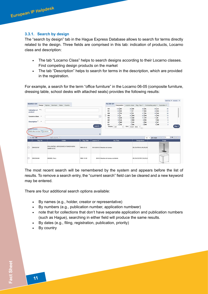**European IP Helpdesk**

The "search by design" tab in the Hague Express Database allows to search for terms directly related to the design. Three fields are comprised in this tab: indication of products, Locarno class and description:

- The tab "Locarno Class" helps to search designs according to their Locarno classes. Find competing design products on the market
- The tab "Description" helps to search for terms in the description, which are provided in the registration.

For example, a search for the term "office furniture" in the Locarno 06-05 (composite furniture, dressing table, school desks with attached seats) provides the following results:

|                                                                                                                                                                                                                                                                                                                                                                                                                                                                                                                                                                                                                                                                                                                                                                                                                                                                       | Design         |  |  |    | Designation |       |  |  |  |          |
|-----------------------------------------------------------------------------------------------------------------------------------------------------------------------------------------------------------------------------------------------------------------------------------------------------------------------------------------------------------------------------------------------------------------------------------------------------------------------------------------------------------------------------------------------------------------------------------------------------------------------------------------------------------------------------------------------------------------------------------------------------------------------------------------------------------------------------------------------------------------------|----------------|--|--|----|-------------|-------|--|--|--|----------|
|                                                                                                                                                                                                                                                                                                                                                                                                                                                                                                                                                                                                                                                                                                                                                                                                                                                                       | $\mathbf{v} =$ |  |  | CH | 128 BX      | 88 BE |  |  |  |          |
| <b>FILTER BY</b><br><b>SEARCH BY</b><br>Names Numbers Dates Country<br>Indication of<br><b>FR</b><br>product<br>EM<br>MA<br>Locarno class =<br>₹<br>HU<br>GR<br>Description *<br>$\alpha$<br><b>KP</b><br>CA<br>search £<br><b>CLWRENT SEARCH</b><br>PROD:office furniture *<br>LC:06-05<br>宣<br>(edit columns <><br>$1 - 10 / 158$<br>Reg. No<br>Holder<br>$\left  \div \right $ Reg. Date<br>Locarno Cl.<br>PFALZMÖBEL BÜROEINRICHTUNGSFABRIK<br>DM/032187<br>06-03.06-05 Meubles de bureau<br>1995-02-22                                                                                                                                                                                                                                                                                                                                                           |                |  |  |    |             |       |  |  |  |          |
|                                                                                                                                                                                                                                                                                                                                                                                                                                                                                                                                                                                                                                                                                                                                                                                                                                                                       |                |  |  |    |             |       |  |  |  |          |
|                                                                                                                                                                                                                                                                                                                                                                                                                                                                                                                                                                                                                                                                                                                                                                                                                                                                       |                |  |  |    |             |       |  |  |  |          |
|                                                                                                                                                                                                                                                                                                                                                                                                                                                                                                                                                                                                                                                                                                                                                                                                                                                                       |                |  |  |    |             |       |  |  |  |          |
|                                                                                                                                                                                                                                                                                                                                                                                                                                                                                                                                                                                                                                                                                                                                                                                                                                                                       |                |  |  |    |             |       |  |  |  |          |
| searches $\blacktriangledown$ records $\blacktriangledown$<br>Locarno class Reg. Year * Contracting party * Expiration *<br>88 NL<br>88 LU<br>88<br>82 DE<br>$77$ IT<br><b>77 ES</b><br>48 EG<br>43<br>38<br>43 TN<br>43 ID<br>41 VA<br>40 AN<br>$34$ LI<br>25 MC<br>24 RO<br>14 NO<br>13<br>$12$ US<br>12 GB<br>11 TR<br>11 SI<br>10<br>10 UA<br>8 MK<br>8 RS<br>$7$ SG<br>6<br>6 ME<br>$5$ $HR$<br>4BA<br>$4$ JP<br>4<br>4 YU<br>$3$ SN<br>$3$ MD<br>$2$ AM<br>$\overline{2}$<br>Display: List<br>Sort: $Count - desc \sim$<br>$\checkmark$<br>$\frac{1}{2}$ (m)<br>$/16$ (b) (b)<br>$\left(\frac{1}{2}\right)\left(\frac{1}{2}\right)$<br>$10 \times$ per page<br>Ind. Prod.<br><b>Designations</b><br>Image<br>BX,CH,FR,HU,AN,EG,ES<br>GMBH & CO.<br><b>BIGGEL Franz</b><br>DM/034348<br>1995-10-09<br>06-05 Meubles de bureau combinés<br>BX,CH,DE,FR,IT,AN,EG,E |                |  |  |    |             |       |  |  |  |          |
|                                                                                                                                                                                                                                                                                                                                                                                                                                                                                                                                                                                                                                                                                                                                                                                                                                                                       |                |  |  |    |             |       |  |  |  | filter T |
|                                                                                                                                                                                                                                                                                                                                                                                                                                                                                                                                                                                                                                                                                                                                                                                                                                                                       |                |  |  |    |             |       |  |  |  |          |
|                                                                                                                                                                                                                                                                                                                                                                                                                                                                                                                                                                                                                                                                                                                                                                                                                                                                       |                |  |  |    |             |       |  |  |  |          |
|                                                                                                                                                                                                                                                                                                                                                                                                                                                                                                                                                                                                                                                                                                                                                                                                                                                                       |                |  |  |    |             |       |  |  |  |          |
|                                                                                                                                                                                                                                                                                                                                                                                                                                                                                                                                                                                                                                                                                                                                                                                                                                                                       |                |  |  |    |             |       |  |  |  |          |

The most recent search will be remembered by the system and appears before the list of results. To remove a search entry, the "current search" field can be cleared and a new keyword may be entered.

There are four additional search options available:

- By names (e.g., holder, creator or representative)
- By numbers (e.g., publication number, application numbwer)
- note that for collections that don't have separate application and publication numbers (such as Hague), searching in either field will produce the same results.
- By dates (e.g., filing, registration, publication, priority)
- By country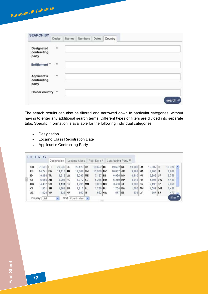| <b>SEARCH BY</b>                    | Design    | Names | Numbers | Dates | Country  |
|-------------------------------------|-----------|-------|---------|-------|----------|
| Designated<br>contracting<br>party  | $\,$ $\,$ |       |         |       |          |
| <b>Entitlement</b>                  | $\equiv$  |       |         |       |          |
| Applicant's<br>contracting<br>party | $\equiv$  |       |         |       |          |
| Holder country =                    |           |       |         |       |          |
|                                     |           |       |         |       | search P |

The search results can also be filtered and narrowed down to particular categories, without having to enter any additional search terms. Different types of filters are divided into separate tabs. Specific information is available for the following individual categories:

• Designation

**European IP Helpdesk**

- Locarno Class Registration Date
- Applicant's Contracting Party

|           |            | Designation | Locarno Class | Reg. Date <sup>x</sup> |                   | Contracting Party <sup>x</sup> |           |            |            |  |
|-----------|------------|-------------|---------------|------------------------|-------------------|--------------------------------|-----------|------------|------------|--|
| CН        | 31,561 FR  | 20,338 DE   | 20,129 BX     | 19,682 BE              |                   | 19,682 NL                      | 19,682 LU | 19,682 IT  | $19,320$ ^ |  |
| ES        | 14,741 EG  | 14,718 TN   | 14,209 EM     | 12,989 MC              |                   | 10,037 GR                      | 9,969 MA  | $9,768$ LI | 9,608      |  |
| ID.       | $9,466$ TR | 8,519 VA    | 8,293 ME      | 7,187                  | $ $ <sub>RS</sub> | 6,960 MK                       | 6,910 HU  | $6,863$ UA | 6,759      |  |
| <b>SI</b> | 6,656 AN   | 6,201 RO    | 5,372 SG      | 5,256 MD               |                   | 5,219 KP                       | 4,543 HR  | 4,506 CW   | 4,439      |  |
| BO        | $4,437$ SX | 4,434 BG    | 4.295 MN      | 3,833 NO               |                   | 3,460 GE                       | 3,083 KG  | 2,495 BZ   | 2,069      |  |
| C1        | 1,931 SN   | 1,861 SR    | $1,812$ AL    | 1,789 BJ               |                   | 1,704 BA                       | 1,606 AM  | 1,581 OM   | 1,428      |  |
| AZ        | 1,026 YU   | 825 KR      | 659 IS        | 652 OA                 |                   | 577 EE                         | 575 LV    | 567 TJ     | 473        |  |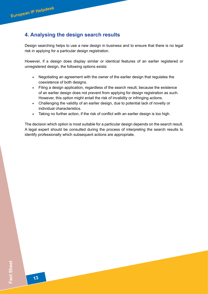# <span id="page-12-0"></span>**4. Analysing the design search results**

Design searching helps to use a new design in business and to ensure that there is no legal risk in applying for a particular design registration.

However, if a design does display similar or identical features of an earlier registered or unregistered design, the following options exists:

- Negotiating an agreement with the owner of the earlier design that regulates the coexistence of both designs.
- Filing a design application, regardless of the search result, because the existence of an earlier design does not prevent from applying for design registration as such. However, this option might entail the risk of invalidity or infringing actions.
- Challenging the validity of an earlier design, due to potential lack of novelty or individual characteristics.
- Taking no further action, if the risk of conflict with an earlier design is too high.

The decision which option is most suitable for a particular design depends on the search result. A legal expert should be consulted during the process of interpreting the search results to identify professionally which subsequent actions are appropriate.